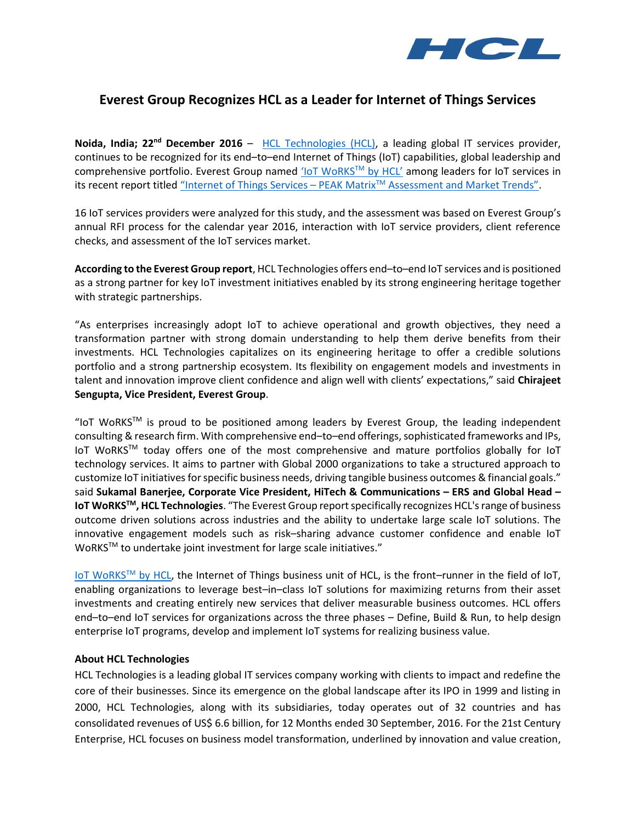

## **Everest Group Recognizes HCL as a Leader for Internet of Things Services**

**Noida, India; 22nd December 2016** – [HCL Technologies \(HCL\),](https://www.hcltech.com/) a leading global IT services provider, continues to be recognized for its end–to–end Internet of Things (IoT) capabilities, global leadership and comprehensive portfolio. Everest Group named 'loT WoRKS™ by HCL' among leaders for IoT services in its recent report titled "Internet of Things Services - PEAK Matrix<sup>™</sup> [Assessment and Market Trends"](http://www2.everestgrp.com/reportaction/EGR-2016-4-R-2025/Marketing).

16 IoT services providers were analyzed for this study, and the assessment was based on Everest Group's annual RFI process for the calendar year 2016, interaction with IoT service providers, client reference checks, and assessment of the IoT services market.

**According to the Everest Group report**, HCL Technologies offers end–to–end IoT services and is positioned as a strong partner for key IoT investment initiatives enabled by its strong engineering heritage together with strategic partnerships.

"As enterprises increasingly adopt IoT to achieve operational and growth objectives, they need a transformation partner with strong domain understanding to help them derive benefits from their investments. HCL Technologies capitalizes on its engineering heritage to offer a credible solutions portfolio and a strong partnership ecosystem. Its flexibility on engagement models and investments in talent and innovation improve client confidence and align well with clients' expectations," said **Chirajeet Sengupta, Vice President, Everest Group**.

"IoT WoRKS™ is proud to be positioned among leaders by Everest Group, the leading independent consulting & research firm. With comprehensive end–to–end offerings, sophisticated frameworks and IPs, IoT WoRKS™ today offers one of the most comprehensive and mature portfolios globally for IoT technology services. It aims to partner with Global 2000 organizations to take a structured approach to customize IoT initiatives for specific business needs, driving tangible business outcomes & financial goals." said **Sukamal Banerjee, Corporate Vice President, HiTech & Communications – ERS and Global Head – IoT WoRKSTM, HCL Technologies**. "The Everest Group report specifically recognizes HCL's range of business outcome driven solutions across industries and the ability to undertake large scale IoT solutions. The innovative engagement models such as risk–sharing advance customer confidence and enable IoT WoRKS™ to undertake joint investment for large scale initiatives."

[IoT WoRKS](https://www.hcltech.com/Internet-of-Things-IoT/)™ by HCL, the Internet of Things business unit of HCL, is the front–runner in the field of IoT, enabling organizations to leverage best–in–class IoT solutions for maximizing returns from their asset investments and creating entirely new services that deliver measurable business outcomes. HCL offers end–to–end IoT services for organizations across the three phases – Define, Build & Run, to help design enterprise IoT programs, develop and implement IoT systems for realizing business value.

## **About HCL Technologies**

HCL Technologies is a leading global IT services company working with clients to impact and redefine the core of their businesses. Since its emergence on the global landscape after its IPO in 1999 and listing in 2000, HCL Technologies, along with its subsidiaries, today operates out of 32 countries and has consolidated revenues of US\$ 6.6 billion, for 12 Months ended 30 September, 2016. For the 21st Century Enterprise, HCL focuses on business model transformation, underlined by innovation and value creation,